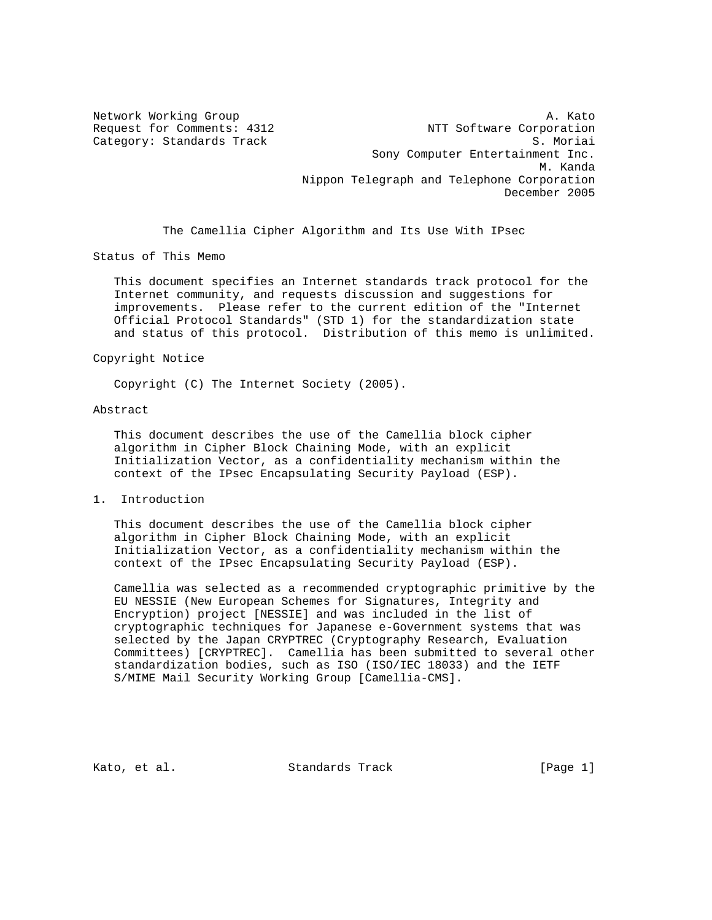Network Working Group and A. Kato Request for Comments: 4312 NTT Software Corporation Category: Standards Track S. Moriai Sony Computer Entertainment Inc. M. Kanda Nippon Telegraph and Telephone Corporation December 2005

The Camellia Cipher Algorithm and Its Use With IPsec

Status of This Memo

 This document specifies an Internet standards track protocol for the Internet community, and requests discussion and suggestions for improvements. Please refer to the current edition of the "Internet Official Protocol Standards" (STD 1) for the standardization state and status of this protocol. Distribution of this memo is unlimited.

### Copyright Notice

Copyright (C) The Internet Society (2005).

#### Abstract

 This document describes the use of the Camellia block cipher algorithm in Cipher Block Chaining Mode, with an explicit Initialization Vector, as a confidentiality mechanism within the context of the IPsec Encapsulating Security Payload (ESP).

1. Introduction

 This document describes the use of the Camellia block cipher algorithm in Cipher Block Chaining Mode, with an explicit Initialization Vector, as a confidentiality mechanism within the context of the IPsec Encapsulating Security Payload (ESP).

 Camellia was selected as a recommended cryptographic primitive by the EU NESSIE (New European Schemes for Signatures, Integrity and Encryption) project [NESSIE] and was included in the list of cryptographic techniques for Japanese e-Government systems that was selected by the Japan CRYPTREC (Cryptography Research, Evaluation Committees) [CRYPTREC]. Camellia has been submitted to several other standardization bodies, such as ISO (ISO/IEC 18033) and the IETF S/MIME Mail Security Working Group [Camellia-CMS].

Kato, et al. Standards Track [Page 1]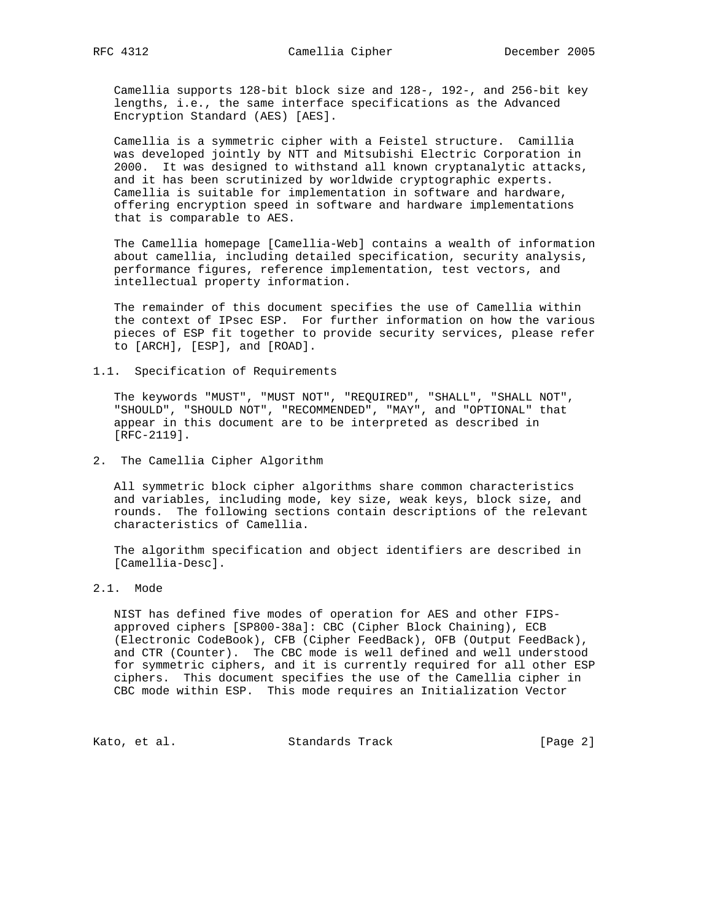Camellia supports 128-bit block size and 128-, 192-, and 256-bit key lengths, i.e., the same interface specifications as the Advanced Encryption Standard (AES) [AES].

 Camellia is a symmetric cipher with a Feistel structure. Camillia was developed jointly by NTT and Mitsubishi Electric Corporation in 2000. It was designed to withstand all known cryptanalytic attacks, and it has been scrutinized by worldwide cryptographic experts. Camellia is suitable for implementation in software and hardware, offering encryption speed in software and hardware implementations that is comparable to AES.

 The Camellia homepage [Camellia-Web] contains a wealth of information about camellia, including detailed specification, security analysis, performance figures, reference implementation, test vectors, and intellectual property information.

 The remainder of this document specifies the use of Camellia within the context of IPsec ESP. For further information on how the various pieces of ESP fit together to provide security services, please refer to [ARCH], [ESP], and [ROAD].

1.1. Specification of Requirements

 The keywords "MUST", "MUST NOT", "REQUIRED", "SHALL", "SHALL NOT", "SHOULD", "SHOULD NOT", "RECOMMENDED", "MAY", and "OPTIONAL" that appear in this document are to be interpreted as described in [RFC-2119].

2. The Camellia Cipher Algorithm

 All symmetric block cipher algorithms share common characteristics and variables, including mode, key size, weak keys, block size, and rounds. The following sections contain descriptions of the relevant characteristics of Camellia.

 The algorithm specification and object identifiers are described in [Camellia-Desc].

## 2.1. Mode

 NIST has defined five modes of operation for AES and other FIPS approved ciphers [SP800-38a]: CBC (Cipher Block Chaining), ECB (Electronic CodeBook), CFB (Cipher FeedBack), OFB (Output FeedBack), and CTR (Counter). The CBC mode is well defined and well understood for symmetric ciphers, and it is currently required for all other ESP ciphers. This document specifies the use of the Camellia cipher in CBC mode within ESP. This mode requires an Initialization Vector

Kato, et al. Standards Track [Page 2]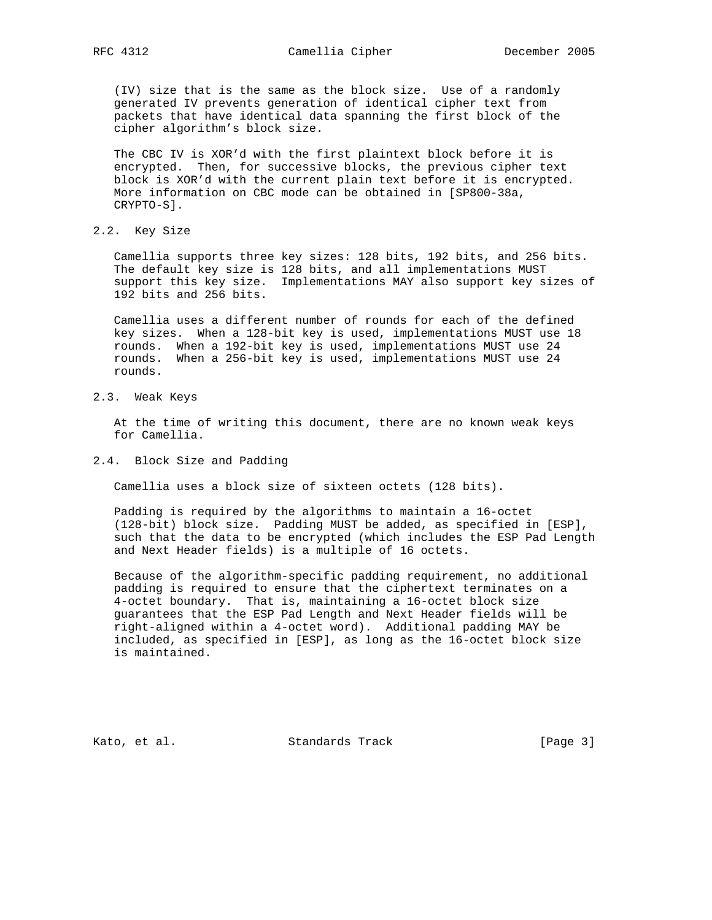(IV) size that is the same as the block size. Use of a randomly generated IV prevents generation of identical cipher text from packets that have identical data spanning the first block of the cipher algorithm's block size.

 The CBC IV is XOR'd with the first plaintext block before it is encrypted. Then, for successive blocks, the previous cipher text block is XOR'd with the current plain text before it is encrypted. More information on CBC mode can be obtained in [SP800-38a, CRYPTO-S].

2.2. Key Size

 Camellia supports three key sizes: 128 bits, 192 bits, and 256 bits. The default key size is 128 bits, and all implementations MUST support this key size. Implementations MAY also support key sizes of 192 bits and 256 bits.

 Camellia uses a different number of rounds for each of the defined key sizes. When a 128-bit key is used, implementations MUST use 18 rounds. When a 192-bit key is used, implementations MUST use 24 rounds. When a 256-bit key is used, implementations MUST use 24 rounds.

2.3. Weak Keys

 At the time of writing this document, there are no known weak keys for Camellia.

2.4. Block Size and Padding

Camellia uses a block size of sixteen octets (128 bits).

 Padding is required by the algorithms to maintain a 16-octet (128-bit) block size. Padding MUST be added, as specified in [ESP], such that the data to be encrypted (which includes the ESP Pad Length and Next Header fields) is a multiple of 16 octets.

 Because of the algorithm-specific padding requirement, no additional padding is required to ensure that the ciphertext terminates on a 4-octet boundary. That is, maintaining a 16-octet block size guarantees that the ESP Pad Length and Next Header fields will be right-aligned within a 4-octet word). Additional padding MAY be included, as specified in [ESP], as long as the 16-octet block size is maintained.

Kato, et al. Standards Track [Page 3]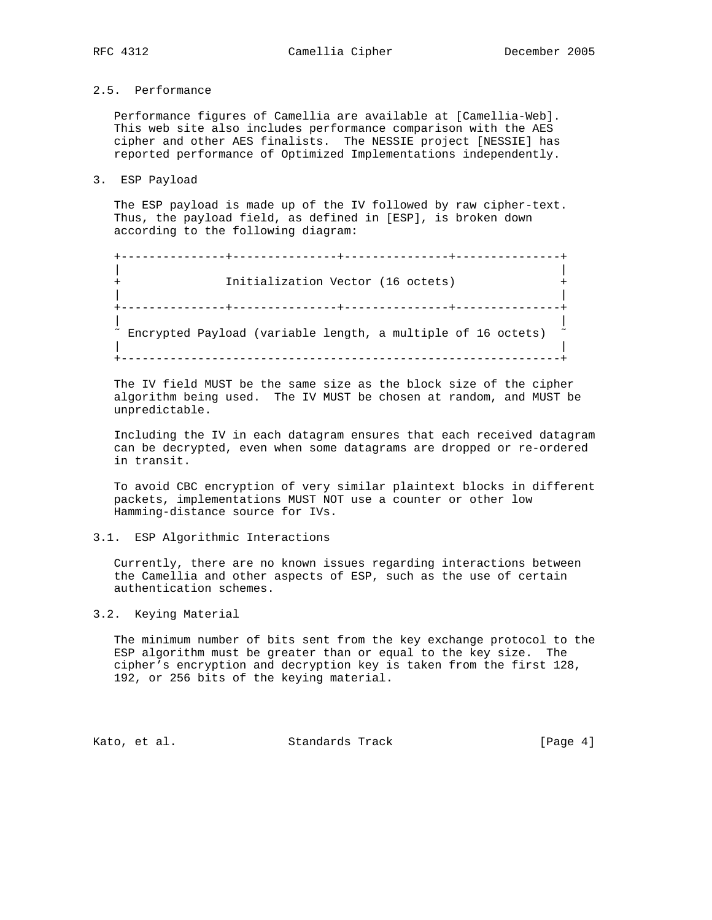# 2.5. Performance

 Performance figures of Camellia are available at [Camellia-Web]. This web site also includes performance comparison with the AES cipher and other AES finalists. The NESSIE project [NESSIE] has reported performance of Optimized Implementations independently.

3. ESP Payload

 The ESP payload is made up of the IV followed by raw cipher-text. Thus, the payload field, as defined in [ESP], is broken down according to the following diagram:

```
 +---------------+---------------+---------------+---------------+
| |
 + Initialization Vector (16 octets) +
| |
 +---------------+---------------+---------------+---------------+
| |
\sim Encrypted Payload (variable length, a multiple of 16 octets) \sim | |
+---------------------------------------------------------------+
```
 The IV field MUST be the same size as the block size of the cipher algorithm being used. The IV MUST be chosen at random, and MUST be unpredictable.

 Including the IV in each datagram ensures that each received datagram can be decrypted, even when some datagrams are dropped or re-ordered in transit.

 To avoid CBC encryption of very similar plaintext blocks in different packets, implementations MUST NOT use a counter or other low Hamming-distance source for IVs.

### 3.1. ESP Algorithmic Interactions

 Currently, there are no known issues regarding interactions between the Camellia and other aspects of ESP, such as the use of certain authentication schemes.

## 3.2. Keying Material

 The minimum number of bits sent from the key exchange protocol to the ESP algorithm must be greater than or equal to the key size. The cipher's encryption and decryption key is taken from the first 128, 192, or 256 bits of the keying material.

Kato, et al. Standards Track [Page 4]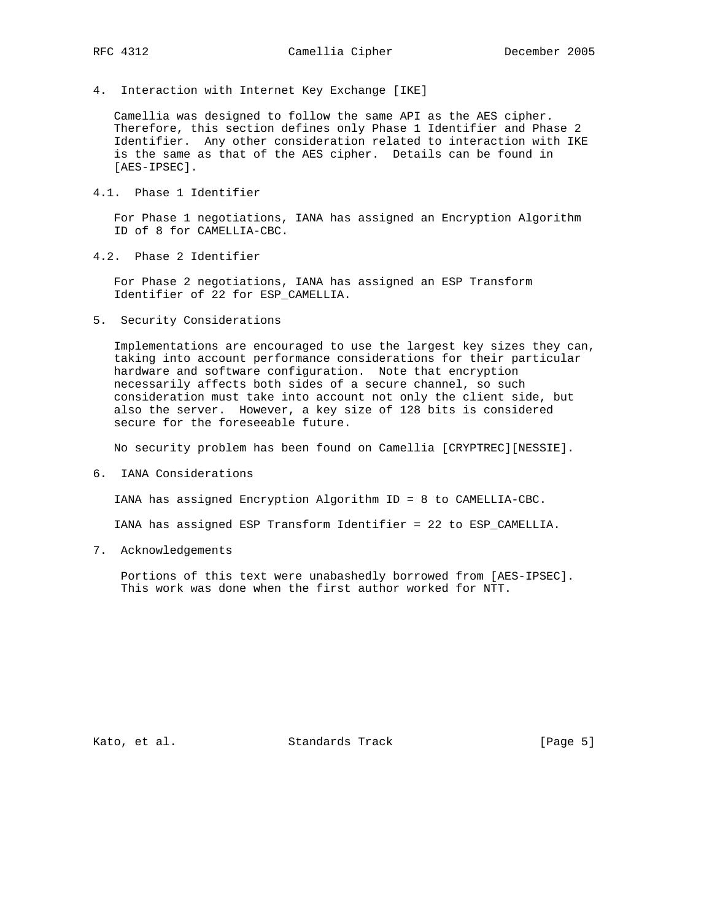4. Interaction with Internet Key Exchange [IKE]

 Camellia was designed to follow the same API as the AES cipher. Therefore, this section defines only Phase 1 Identifier and Phase 2 Identifier. Any other consideration related to interaction with IKE is the same as that of the AES cipher. Details can be found in [AES-IPSEC].

4.1. Phase 1 Identifier

 For Phase 1 negotiations, IANA has assigned an Encryption Algorithm ID of 8 for CAMELLIA-CBC.

4.2. Phase 2 Identifier

 For Phase 2 negotiations, IANA has assigned an ESP Transform Identifier of 22 for ESP\_CAMELLIA.

5. Security Considerations

 Implementations are encouraged to use the largest key sizes they can, taking into account performance considerations for their particular hardware and software configuration. Note that encryption necessarily affects both sides of a secure channel, so such consideration must take into account not only the client side, but also the server. However, a key size of 128 bits is considered secure for the foreseeable future.

No security problem has been found on Camellia [CRYPTREC][NESSIE].

6. IANA Considerations

IANA has assigned Encryption Algorithm ID = 8 to CAMELLIA-CBC.

IANA has assigned ESP Transform Identifier = 22 to ESP\_CAMELLIA.

7. Acknowledgements

 Portions of this text were unabashedly borrowed from [AES-IPSEC]. This work was done when the first author worked for NTT.

Kato, et al. Standards Track [Page 5]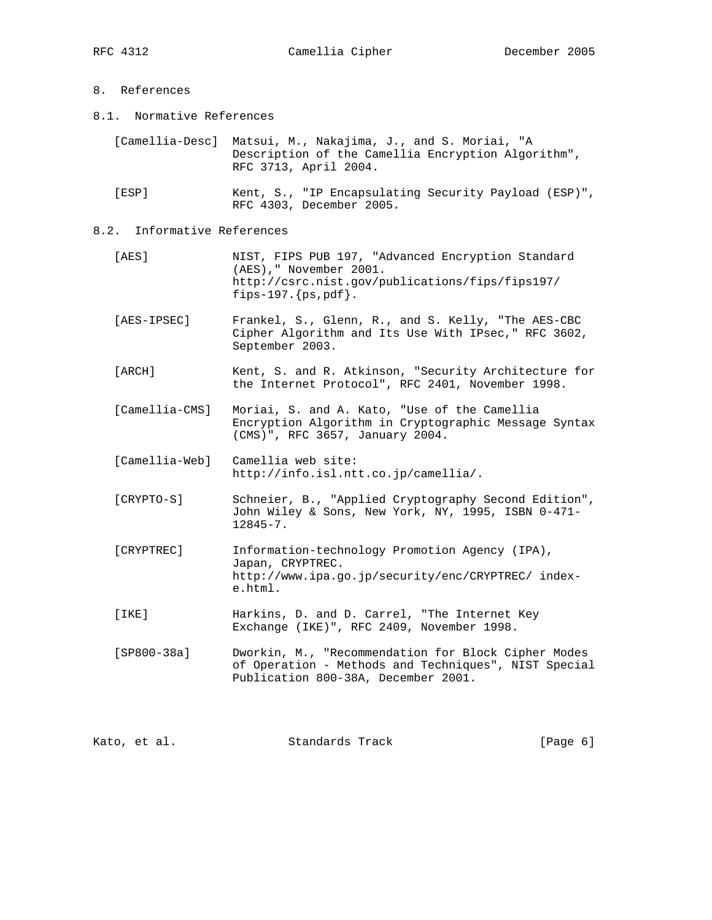- 8. References
- 8.1. Normative References

| [Camellia-Desc] Matsui, M., Nakajima, J., and S. Moriai, "A |
|-------------------------------------------------------------|
| Description of the Camellia Encryption Algorithm",          |
| RFC 3713, April 2004.                                       |

 [ESP] Kent, S., "IP Encapsulating Security Payload (ESP)", RFC 4303, December 2005.

# 8.2. Informative References

- [AES] NIST, FIPS PUB 197, "Advanced Encryption Standard (AES)," November 2001. http://csrc.nist.gov/publications/fips/fips197/ fips-197. ${ps, pdf}.$
- [AES-IPSEC] Frankel, S., Glenn, R., and S. Kelly, "The AES-CBC Cipher Algorithm and Its Use With IPsec," RFC 3602, September 2003.
- [ARCH] Kent, S. and R. Atkinson, "Security Architecture for the Internet Protocol", RFC 2401, November 1998.
- [Camellia-CMS] Moriai, S. and A. Kato, "Use of the Camellia Encryption Algorithm in Cryptographic Message Syntax (CMS)", RFC 3657, January 2004.
- [Camellia-Web] Camellia web site: http://info.isl.ntt.co.jp/camellia/.
- [CRYPTO-S] Schneier, B., "Applied Cryptography Second Edition", John Wiley & Sons, New York, NY, 1995, ISBN 0-471- 12845-7.
- [CRYPTREC] Information-technology Promotion Agency (IPA), Japan, CRYPTREC. http://www.ipa.go.jp/security/enc/CRYPTREC/ index e.html.
- [IKE] Harkins, D. and D. Carrel, "The Internet Key Exchange (IKE)", RFC 2409, November 1998.
- [SP800-38a] Dworkin, M., "Recommendation for Block Cipher Modes of Operation - Methods and Techniques", NIST Special Publication 800-38A, December 2001.

|  | Kato, et al. | Standards Track | [Page 6] |  |  |
|--|--------------|-----------------|----------|--|--|
|--|--------------|-----------------|----------|--|--|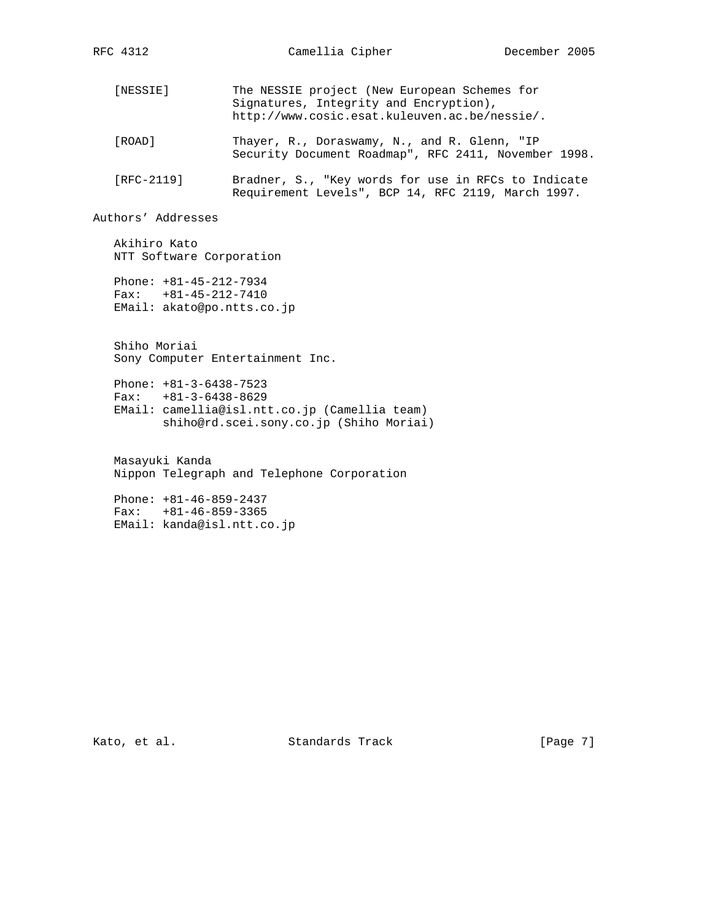[NESSIE] The NESSIE project (New European Schemes for Signatures, Integrity and Encryption), http://www.cosic.esat.kuleuven.ac.be/nessie/. [ROAD] Thayer, R., Doraswamy, N., and R. Glenn, "IP Security Document Roadmap", RFC 2411, November 1998. [RFC-2119] Bradner, S., "Key words for use in RFCs to Indicate

Requirement Levels", BCP 14, RFC 2119, March 1997.

Authors' Addresses

 Akihiro Kato NTT Software Corporation

 Phone: +81-45-212-7934 Fax: +81-45-212-7410 EMail: akato@po.ntts.co.jp

 Shiho Moriai Sony Computer Entertainment Inc.

 Phone: +81-3-6438-7523 Fax: +81-3-6438-8629 EMail: camellia@isl.ntt.co.jp (Camellia team) shiho@rd.scei.sony.co.jp (Shiho Moriai)

 Masayuki Kanda Nippon Telegraph and Telephone Corporation

 Phone: +81-46-859-2437 Fax: +81-46-859-3365 EMail: kanda@isl.ntt.co.jp

Kato, et al. Standards Track [Page 7]